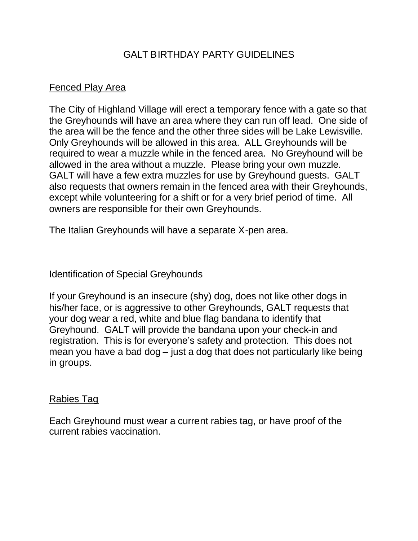# GALT BIRTHDAY PARTY GUIDELINES

# Fenced Play Area

The City of Highland Village will erect a temporary fence with a gate so that the Greyhounds will have an area where they can run off lead. One side of the area will be the fence and the other three sides will be Lake Lewisville. Only Greyhounds will be allowed in this area. ALL Greyhounds will be required to wear a muzzle while in the fenced area. No Greyhound will be allowed in the area without a muzzle. Please bring your own muzzle. GALT will have a few extra muzzles for use by Greyhound guests. GALT also requests that owners remain in the fenced area with their Greyhounds, except while volunteering for a shift or for a very brief period of time. All owners are responsible for their own Greyhounds.

The Italian Greyhounds will have a separate X-pen area.

## Identification of Special Greyhounds

If your Greyhound is an insecure (shy) dog, does not like other dogs in his/her face, or is aggressive to other Greyhounds, GALT requests that your dog wear a red, white and blue flag bandana to identify that Greyhound. GALT will provide the bandana upon your check-in and registration. This is for everyone's safety and protection. This does not mean you have a bad dog – just a dog that does not particularly like being in groups.

## Rabies Tag

Each Greyhound must wear a current rabies tag, or have proof of the current rabies vaccination.